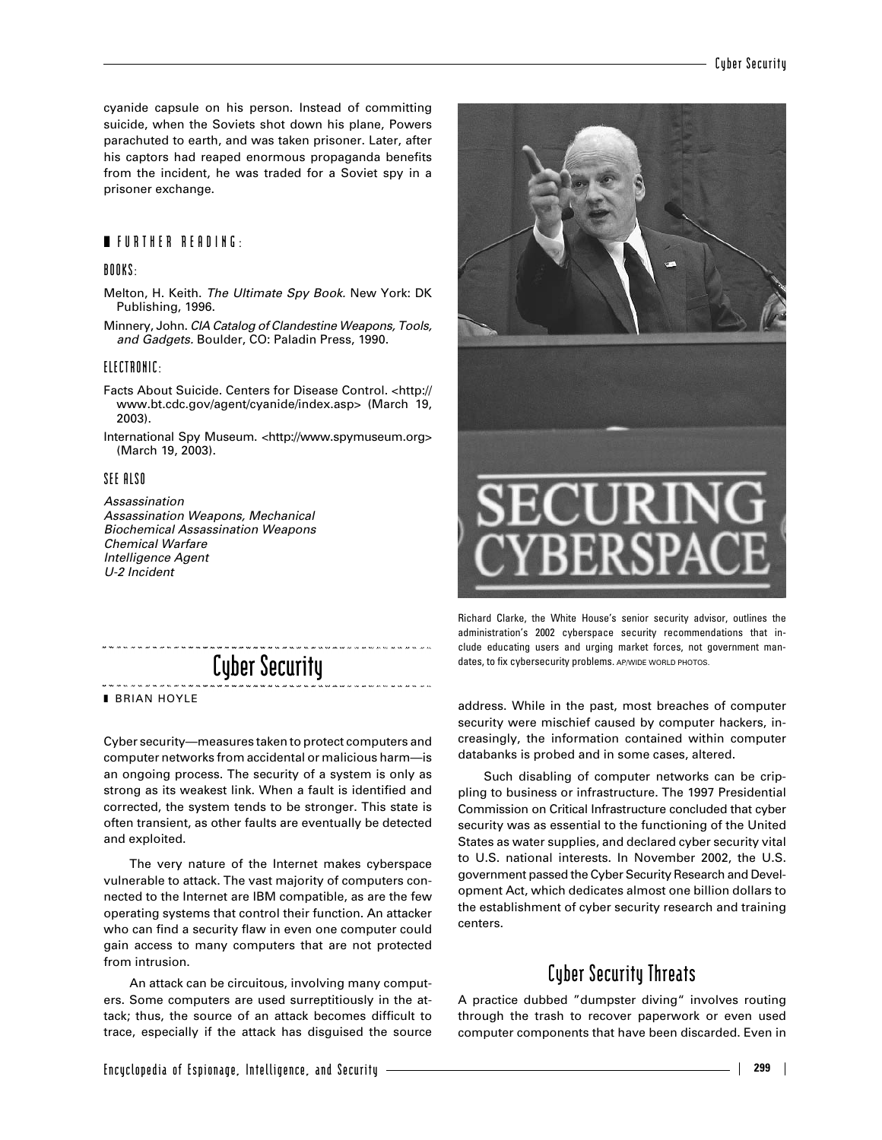cyanide capsule on his person. Instead of committing suicide, when the Soviets shot down his plane, Powers parachuted to earth, and was taken prisoner. Later, after his captors had reaped enormous propaganda benefits from the incident, he was traded for a Soviet spy in a prisoner exchange.

# ❚ **FURTHER READING:**

### **BOOKS:**

- Melton, H. Keith. The Ultimate Spy Book. New York: DK Publishing, 1996.
- Minnery, John. CIA Catalog of Clandestine Weapons, Tools, and Gadgets. Boulder, CO: Paladin Press, 1990.

#### **ELECTRONIC:**

- Facts About Suicide. Centers for Disease Control. <http:// www.bt.cdc.gov/agent/cyanide/index.asp> (March 19, 2003).
- International Spy Museum. <http://www.spymuseum.org> (March 19, 2003).

### **SEE ALSO**

Assassination Assassination Weapons, Mechanical Biochemical Assassination Weapons Chemical Warfare Intelligence Agent U-2 Incident



**■ BRIAN HOYLE** 

Cyber security—measures taken to protect computers and computer networks from accidental or malicious harm—is an ongoing process. The security of a system is only as strong as its weakest link. When a fault is identified and corrected, the system tends to be stronger. This state is often transient, as other faults are eventually be detected and exploited.

The very nature of the Internet makes cyberspace vulnerable to attack. The vast majority of computers connected to the Internet are IBM compatible, as are the few operating systems that control their function. An attacker who can find a security flaw in even one computer could gain access to many computers that are not protected from intrusion.

An attack can be circuitous, involving many computers. Some computers are used surreptitiously in the attack; thus, the source of an attack becomes difficult to trace, especially if the attack has disguised the source



Richard Clarke, the White House's senior security advisor, outlines the administration's 2002 cyberspace security recommendations that include educating users and urging market forces, not government mandates, to fix cybersecurity problems. AP/WIDE WORLD PHOTOS.

address. While in the past, most breaches of computer security were mischief caused by computer hackers, increasingly, the information contained within computer databanks is probed and in some cases, altered.

Such disabling of computer networks can be crippling to business or infrastructure. The 1997 Presidential Commission on Critical Infrastructure concluded that cyber security was as essential to the functioning of the United States as water supplies, and declared cyber security vital to U.S. national interests. In November 2002, the U.S. government passed the Cyber Security Research and Development Act, which dedicates almost one billion dollars to the establishment of cyber security research and training centers.

# **Cyber Security Threats**

A practice dubbed "dumpster diving" involves routing through the trash to recover paperwork or even used computer components that have been discarded. Even in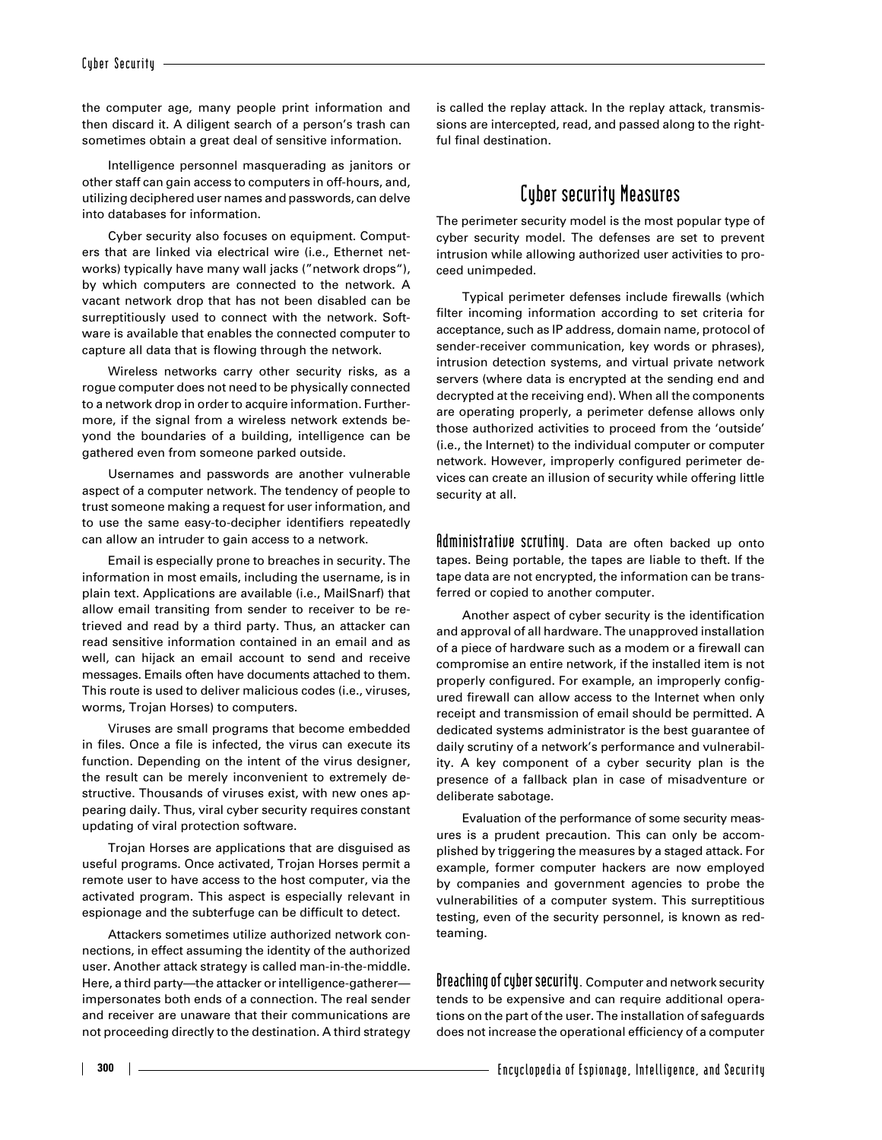the computer age, many people print information and then discard it. A diligent search of a person's trash can sometimes obtain a great deal of sensitive information.

Intelligence personnel masquerading as janitors or other staff can gain access to computers in off-hours, and, utilizing deciphered user names and passwords, can delve into databases for information.

Cyber security also focuses on equipment. Computers that are linked via electrical wire (i.e., Ethernet networks) typically have many wall jacks ("network drops"), by which computers are connected to the network. A vacant network drop that has not been disabled can be surreptitiously used to connect with the network. Software is available that enables the connected computer to capture all data that is flowing through the network.

Wireless networks carry other security risks, as a rogue computer does not need to be physically connected to a network drop in order to acquire information. Furthermore, if the signal from a wireless network extends beyond the boundaries of a building, intelligence can be gathered even from someone parked outside.

Usernames and passwords are another vulnerable aspect of a computer network. The tendency of people to trust someone making a request for user information, and to use the same easy-to-decipher identifiers repeatedly can allow an intruder to gain access to a network.

Email is especially prone to breaches in security. The information in most emails, including the username, is in plain text. Applications are available (i.e., MailSnarf) that allow email transiting from sender to receiver to be retrieved and read by a third party. Thus, an attacker can read sensitive information contained in an email and as well, can hijack an email account to send and receive messages. Emails often have documents attached to them. This route is used to deliver malicious codes (i.e., viruses, worms, Trojan Horses) to computers.

Viruses are small programs that become embedded in files. Once a file is infected, the virus can execute its function. Depending on the intent of the virus designer, the result can be merely inconvenient to extremely destructive. Thousands of viruses exist, with new ones appearing daily. Thus, viral cyber security requires constant updating of viral protection software.

Trojan Horses are applications that are disguised as useful programs. Once activated, Trojan Horses permit a remote user to have access to the host computer, via the activated program. This aspect is especially relevant in espionage and the subterfuge can be difficult to detect.

Attackers sometimes utilize authorized network connections, in effect assuming the identity of the authorized user. Another attack strategy is called man-in-the-middle. Here, a third party—the attacker or intelligence-gatherer impersonates both ends of a connection. The real sender and receiver are unaware that their communications are not proceeding directly to the destination. A third strategy is called the replay attack. In the replay attack, transmissions are intercepted, read, and passed along to the rightful final destination.

# **Cyber security Measures**

The perimeter security model is the most popular type of cyber security model. The defenses are set to prevent intrusion while allowing authorized user activities to proceed unimpeded.

Typical perimeter defenses include firewalls (which filter incoming information according to set criteria for acceptance, such as IP address, domain name, protocol of sender-receiver communication, key words or phrases), intrusion detection systems, and virtual private network servers (where data is encrypted at the sending end and decrypted at the receiving end). When all the components are operating properly, a perimeter defense allows only those authorized activities to proceed from the 'outside' (i.e., the Internet) to the individual computer or computer network. However, improperly configured perimeter devices can create an illusion of security while offering little security at all.

**Administrative scrutiny.** Data are often backed up onto tapes. Being portable, the tapes are liable to theft. If the tape data are not encrypted, the information can be transferred or copied to another computer.

Another aspect of cyber security is the identification and approval of all hardware. The unapproved installation of a piece of hardware such as a modem or a firewall can compromise an entire network, if the installed item is not properly configured. For example, an improperly configured firewall can allow access to the Internet when only receipt and transmission of email should be permitted. A dedicated systems administrator is the best guarantee of daily scrutiny of a network's performance and vulnerability. A key component of a cyber security plan is the presence of a fallback plan in case of misadventure or deliberate sabotage.

Evaluation of the performance of some security measures is a prudent precaution. This can only be accomplished by triggering the measures by a staged attack. For example, former computer hackers are now employed by companies and government agencies to probe the vulnerabilities of a computer system. This surreptitious testing, even of the security personnel, is known as redteaming.

**Breaching of cyber security.** Computer and network security tends to be expensive and can require additional operations on the part of the user. The installation of safeguards does not increase the operational efficiency of a computer